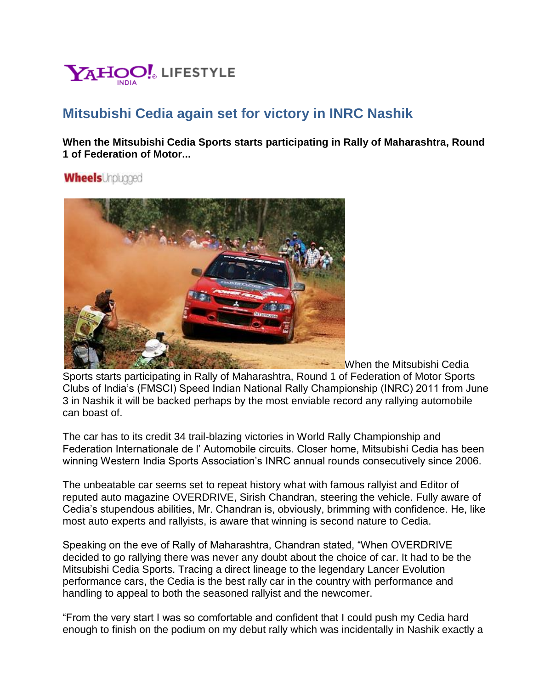

## **Mitsubishi Cedia again set for victory in INRC Nashik**

**When the Mitsubishi Cedia Sports starts participating in Rally of Maharashtra, Round 1 of Federation of Motor...**

**Wheels** Unpluaged



When the Mitsubishi Cedia Sports starts participating in Rally of Maharashtra, Round 1 of Federation of Motor Sports Clubs of India's (FMSCI) Speed Indian National Rally Championship (INRC) 2011 from June 3 in Nashik it will be backed perhaps by the most enviable record any rallying automobile can boast of.

The car has to its credit 34 trail-blazing victories in World Rally Championship and Federation Internationale de l' Automobile circuits. Closer home, Mitsubishi Cedia has been winning Western India Sports Association's INRC annual rounds consecutively since 2006.

The unbeatable car seems set to repeat history what with famous rallyist and Editor of reputed auto magazine OVERDRIVE, Sirish Chandran, steering the vehicle. Fully aware of Cedia's stupendous abilities, Mr. Chandran is, obviously, brimming with confidence. He, like most auto experts and rallyists, is aware that winning is second nature to Cedia.

Speaking on the eve of Rally of Maharashtra, Chandran stated, "When OVERDRIVE decided to go rallying there was never any doubt about the choice of car. It had to be the Mitsubishi Cedia Sports. Tracing a direct lineage to the legendary Lancer Evolution performance cars, the Cedia is the best rally car in the country with performance and handling to appeal to both the seasoned rallyist and the newcomer.

"From the very start I was so comfortable and confident that I could push my Cedia hard enough to finish on the podium on my debut rally which was incidentally in Nashik exactly a